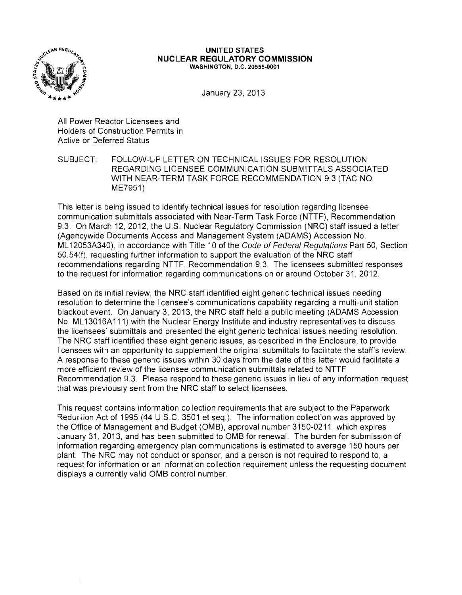

#### **UNITED STATES NUCLEAR REGULATORY COMMISSION** WASHINGTON, D.C. 20555-0001

January 23, 2013

All Power Reactor Licensees and Holders of Construction Permits in Active or Deferred Status

SUBJECT: FOLLOW-UP LETTER ON TECHNICAL ISSUES FOR RESOLUTION REGARDING LICENSEE COMMUNICATION SUBMITTALS ASSOCIATED WITH NEAR-TERM TASK FORCE RECOMMENDATION 9.3 (TAC NO. ME7951)

This letter is being issued to identify technical issues for resolution regarding licensee communication submittals associated with Near-Term Task Force (NTTF), Recommendation 9.3. On March 12,2012, the U.S. Nuclear Regulatory Commission (NRC) staff issued a letter (Agencywide Documents Access and Management System (ADAMS) Accession No. ML 12053A340), in accordance with Title 10 of the Code of Federal Regulations Part 50, Section 50.54(f), requesting further information to support the evaluation of the NRC staff recommendations regarding NTTF, Recommendation 9.3. The licensees submitted responses to the request for information regarding communications on or around October 31, 2012.

Based on its initial review, the NRC staff identified eight generic technical issues needing resolution to determine the licensee's communications capability regarding a multi-unit station blackout event. On January 3,2013, the NRC staff held a public meeting (ADAMS Accession No. ML 13016A 111) with the Nuclear Energy Institute and industry representatives to discuss the licensees' submittals and presented the eight generic technical issues needing resolution. The NRC staff identified these eight generic issues, as described in the Enclosure, to provide licensees with an opportunity to supplement the original submittals to facilitate the staff's review. A response to these generic issues within 30 days from the date of this letter would facilitate a more efficient review of the licensee communication submittals related to NTTF Recommendation 9.3. Please respond to these generic issues in lieu of any information request that was previously sent from the NRC staff to select licensees.

This request contains information collection requirements that are subject to the Paperwork Reduction Act of 1995 (44 U.S.C. 3501 et seq.). The information collection was approved by the Office of Management and Budget (OMB), approval number 3150-0211, which expires January 31,2013, and has been submitted to OMB for renewal. The burden for submission of information regarding emergency plan communications is estimated to average 150 hours per plant. The NRC may not conduct or sponsor, and a person is not required to respond to, a request for information or an information collection requirement unless the requesting document displays a currently valid OMB control number.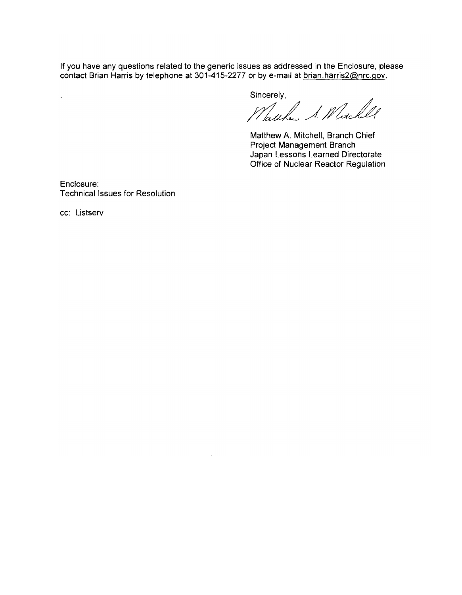If you have any questions related to the generic issues as addressed in the Enclosure, please contact Brian Harris by telephone at 301-415-2277 or by e-mail at <u>brian harris2@nrc.gov</u>.

 $\mathcal{L}$ 

Sincerely,

Watcher & Whichell

Matthew A. Mitchell, Branch Chief Project Management Branch Japan Lessons Learned Directorate Office of Nuclear Reactor Regulation

Enclosure: Technical Issues for Resolution

cc: Listserv

 $\mathcal{L}^{\text{max}}$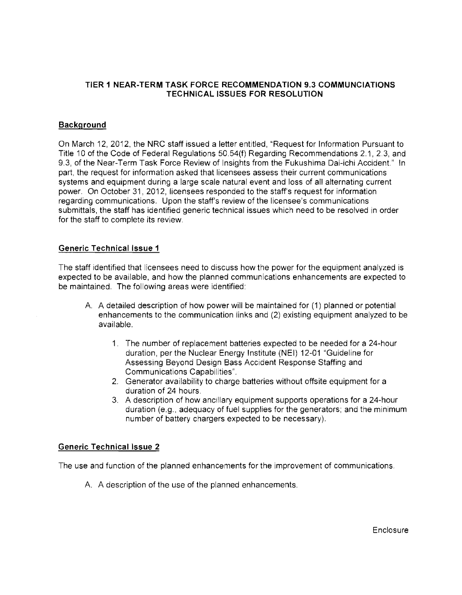## **TIER 1 NEAR·TERM TASK FORCE RECOMMENDATION** 9.3 **COMMUNCIATIONS TECHNICAL ISSUES FOR RESOLUTION**

## **Background**

On March 12, 2012, the NRC staff issued a letter entitled, "Request for Information Pursuant to Title 10 of the Code of Federal Regulations 50.54(f) Regarding Recommendations 2.1, 2.3, and 9.3, of the Near-Term Task Force Review of Insights from the Fukushima Dai-ichi Accident." In part, the request for information asked that licensees assess their current communications systems and equipment during a large scale natural event and loss of all alternating current power. On October 31, 2012, licensees responded to the staff's request for information regarding communications. Upon the staff's review of the licensee's communications submittals, the staff has identified generic technical issues which need to be resolved in order for the staff to complete its review.

## **Generic** Technical Issue **1**

The staff identified that licensees need to discuss how the power for the equipment analyzed is expected to be available, and how the planned communications enhancements are expected to be maintained. The following areas were identified:

- A. A detailed description of how power will be maintained for (1) planned or potential enhancements to the communication links and (2) existing equipment analyzed to be available.
	- 1. The number of replacement batteries expected to be needed for a 24-hour duration, per the Nuclear Energy Institute (NEI) 12-01 "Guideline for Assessing Beyond Design Bass Accident Response Staffing and Communications Capabilities".
	- 2. Generator availability to charge batteries without offsite equipment for a duration of 24 hours.
	- 3. A description of how ancillary equipment supports operations for a 24-hour duration (e.g., adequacy of fuel supplies for the generators; and the minimum number of battery chargers expected to be necessary).

## **Generic** Technical Issue **2**

The use and function of the planned enhancements for the improvement of communications.

A. A description of the use of the planned enhancements.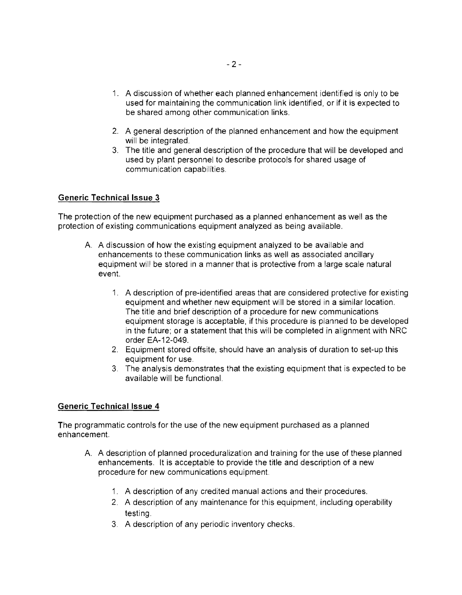- 1. A discussion of whether each planned enhancement identified is only to be used for maintaining the communication link identified, or if it is expected to be shared among other communication links.
- 2. A general description of the planned enhancement and how the equipment will be integrated.
- 3. The title and general description of the procedure that will be developed and used by plant personnel to describe protocols for shared usage of communication capabilities.

# **Generic Technical Issue 3**

The protection of the new equipment purchased as a planned enhancement as well as the protection of existing communications equipment analyzed as being available.

- A. A discussion of how the existing equipment analyzed to be available and enhancements to these communication links as well as associated ancillary equipment will be stored in a manner that is protective from a large scale natural event.
	- 1. A description of pre-identified areas that are considered protective for existing equipment and whether new equipment will be stored in a similar location. The title and brief description of a procedure for new communications equipment storage is acceptable, if this procedure is planned to be developed in the future; or a statement that this will be completed in alignment with NRC order EA-12-049.
	- 2. Equipment stored offsite, should have an analysis of duration to set-up this equipment for use.
	- 3. The analysis demonstrates that the existing equipment that is expected to be available will be functional.

# **Generic Technical Issue 4**

The programmatic controls for the use of the new equipment purchased as a planned enhancement.

- A. A description of planned proceduralization and training for the use of these planned enhancements. It is acceptable to provide the title and description of a new procedure for new communications equipment.
	- 1. A description of any credited manual actions and their procedures.
	- 2. A description of any maintenance for this equipment, including operability testing,
	- 3. A description of any periodic inventory checks.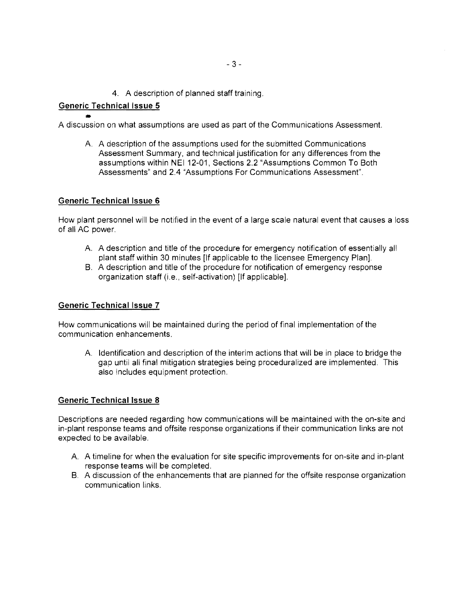4. A description of planned staff training.

# **Generic** Technical Issue **5**

• A discussion on what assumptions are used as part of the Communications Assessment.

A. A description of the assumptions used for the submitted Communications Assessment Summary, and technical justification for any differences from the assumptions within NEI 12-01, Sections 2.2 "Assumptions Common To Both Assessments" and 2.4 "Assumptions For Communications Assessment".

## **Generic** Technical Issue **6**

How plant personnel will be notified in the event of a large scale natural event that causes a loss of all AC power.

- A. A description and title of the procedure for emergency notification of essentially all plant staff within 30 minutes [If applicable to the licensee Emergency Plan].
- B. A description and title of the procedure for notification of emergency response organization staff (Le., self-activation) [If applicable].

## **Generic** Technical Issue **7**

How communications will be maintained during the period of final implementation of the communication enhancements.

A. Identification and description of the interim actions that will be in place to bridge the gap until all final mitigation strategies being proceduralized are implemented. This also includes equipment protection.

## **Generic** Technical Issue **8**

Descriptions are needed regarding how communications will be maintained with the on-site and in-plant response teams and offsite response organizations if their communication links are not expected to be available.

- A. A timeline for when the evaluation for site specific improvements for on-site and in-plant response teams will be completed.
- B. A discussion of the enhancements that are planned for the offsite response organization communication links.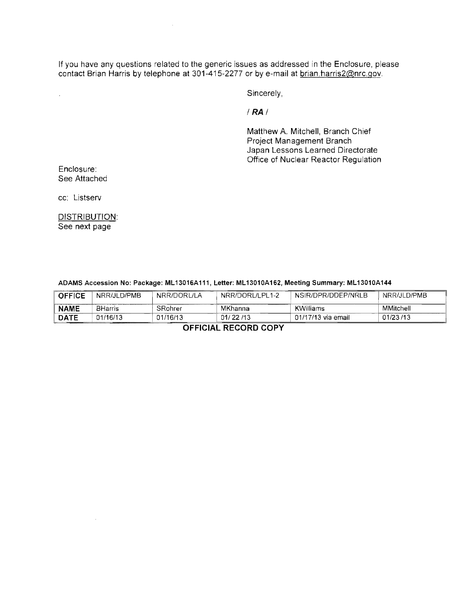If you have any questions related to the generic issues as addressed in the Enclosure, please contact Brian Harris by telephone at 301-415-2277 or by e-mail at brian.harris2@nrc.gov.

Sincerely,

I **RA I** 

Matthew A. Mitchell, Branch Chief Project Management Branch Japan Lessons Learned Directorate Office of Nuclear Reactor Regulation

Enclosure: See Attached

 $\hat{\epsilon}$ 

cc: Listserv

DISTRIBUTION: See next page

 $\sim$ 

| <b>OFFICE</b>                  | NRR/JLD/PMB    | NRR/DORL/LA                                | NRR/DORL/LPL1-2 | NSIR/DPR/DDEP/NRLB | NRR/JLD/PMB |
|--------------------------------|----------------|--------------------------------------------|-----------------|--------------------|-------------|
| <b>NAME</b>                    | <b>BHarris</b> | SRohrer                                    | MKhanna         | KWilliams          | MMitchell   |
| <b>DATE</b>                    | 01/16/13       | 01/16/13<br><b>CONTRACTORY CONTRACTORY</b> | 01/22/13        | 01/17/13 via email | 01/23/13    |
| $-$ ------- - ---- - - - - - - |                |                                            |                 |                    |             |

#### ADAMS Accession No: Package: ML13016A111, Letter: ML13010A162, Meeting Summary: ML13010A144

**OFFICIAL RECORD COPY**